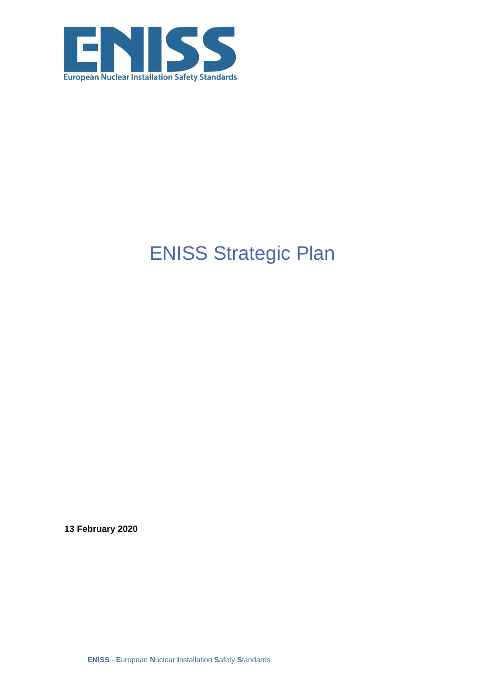

# **ENISS Strategic Plan**

13 February 2020